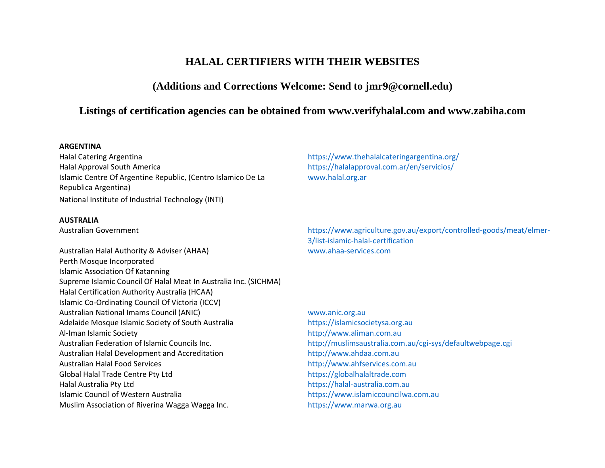# **HALAL CERTIFIERS WITH THEIR WEBSITES**

# **(Additions and Corrections Welcome: Send to [jmr9@cornell.edu\)](mailto:jmr9@cornell.edu)**

## **Listings of certification agencies can be obtained from [www.verifyhalal.com](http://www.verifyhalal.com/) and www.zabiha.com**

#### **ARGENTINA**

Halal Catering Argentina <https://www.thehalalcateringargentina.org/> Halal Approval South America <https://halalapproval.com.ar/en/servicios/> Islamic Centre Of Argentine Republic, (Centro Islamico De La Republica Argentina) National Institute of Industrial Technology (INTI)

#### **AUSTRALIA**

Australian Halal Authority & Adviser (AHAA) [www.ahaa-services.com](http://www.ahaa-services.com/) Perth Mosque Incorporated Islamic Association Of Katanning Supreme Islamic Council Of Halal Meat In Australia Inc. (SICHMA) Halal Certification Authority Australia (HCAA) Islamic Co-Ordinating Council Of Victoria (ICCV) Australian National Imams Council (ANIC) [www.anic.org.au](http://www.anic.org.au/) Adelaide Mosque Islamic Society of South Australia [https://islamicsocietysa.org.au](https://islamicsocietysa.org.au/) Al-Iman Islamic Society **[http://www.aliman.com.au](http://www.aliman.com.au/)** Australian Federation of Islamic Councils Inc. <http://muslimsaustralia.com.au/cgi-sys/defaultwebpage.cgi> Australian Halal Development and Accreditation [http://www.ahdaa.com.au](http://www.ahdaa.com.au/) Australian Halal Food Services **[http://www.ahfservices.com.au](http://www.ahfservices.com.au/)** Global Halal Trade Centre Pty Ltd [https://globalhalaltrade.com](https://globalhalaltrade.com/) Halal Australia Pty Ltd [https://halal-australia.com.au](https://halal-australia.com.au/) Islamic Council of Western Australia [https://www.islamiccouncilwa.com.au](https://www.islamiccouncilwa.com.au/) Muslim Association of Riverina Wagga Wagga Inc. [https://www.marwa.org.au](https://www.marwa.org.au/)

[www.halal.org.ar](http://www.halal.org.ar/)

Australian Government [https://www.agriculture.gov.au/export/controlled-goods/meat/elmer-](https://www.agriculture.gov.au/export/controlled-goods/meat/elmer-3/list-islamic-halal-certification)[3/list-islamic-halal-certification](https://www.agriculture.gov.au/export/controlled-goods/meat/elmer-3/list-islamic-halal-certification)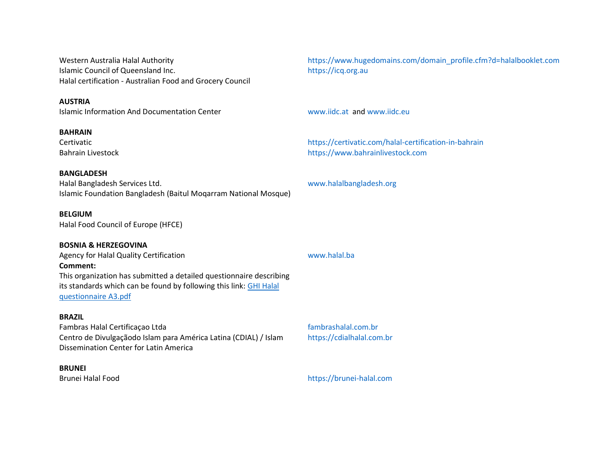Islamic Council of Queensland Inc. [https://icq.org.au](https://icq.org.au/). Halal certification - Australian Food and Grocery Council

#### **AUSTRIA**

Islamic Information And Documentation Center [www.iidc.at](http://www.iidc.at/) an[d www.iidc.eu](http://www.iidc.eu/)

**BAHRAIN**

#### **BANGLADESH**

Halal Bangladesh Services Ltd. [www.halalbangladesh.org](http://www.halalbangladesh.org/) Islamic Foundation Bangladesh (Baitul Moqarram National Mosque)

#### **BELGIUM**

Halal Food Council of Europe (HFCE)

#### **BOSNIA & HERZEGOVINA**

Agency for Halal Quality Certification and the control of the [www.halal.ba](http://www.halal.ba/) **Comment:** This organization has submitted a detailed questionnaire describing its standards which can be found by following this link: [GHI Halal](https://www.globalharmonization.net/sites/default/files/pdf/GHI_Halal-questionnaire-A3.pdf)  [questionnaire A3.pdf](https://www.globalharmonization.net/sites/default/files/pdf/GHI_Halal-questionnaire-A3.pdf)

#### **BRAZIL**

Fambras Halal Certificação Ltda [fambrashalal.com.br](http://fambrashalal.com.br/) Centro de Divulgaҫãodo Islam para América Latina (CDIAL) / Islam Dissemination Center for Latin America

#### **BRUNEI**

Western Australia Halal Authority [https://www.hugedomains.com/domain\\_profile.cfm?d=halalbooklet.com](https://www.hugedomains.com/domain_profile.cfm?d=halalbooklet.com)

Certivatic <https://certivatic.com/halal-certification-in-bahrain> Bahrain Livestock **[https://www.bahrainlivestock.com](https://www.bahrainlivestock.com/)** 

# [https://cdialhalal.com.br](https://cdialhalal.com.br/)

Brunei Halal Food [https://brunei-halal.com](https://brunei-halal.com/)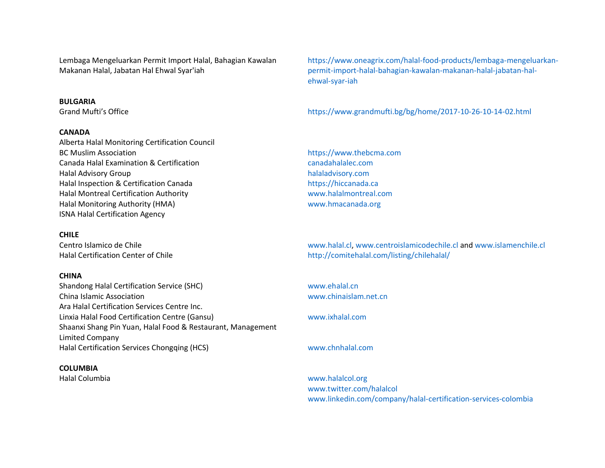Lembaga Mengeluarkan Permit Import Halal, Bahagian Kawalan Makanan Halal, Jabatan Hal Ehwal Syar'iah

#### **BULGARIA**

#### **CANADA**

Alberta Halal Monitoring Certification Council BC Muslim Association **by the community of the community of the community** of the [https://www.thebcma.com](https://www.thebcma.com/) Canada Halal Examination & Certification [canadahalalec.com](http://canadahalalec.com/) Halal Advisory Group [halaladvisory.com](http://halaladvisory.com/) Halal Inspection & Certification Canada [https://hiccanada.ca](https://hiccanada.ca/) Halal Montreal Certification Authority [www.halalmontreal.com](http://www.halalmontreal.com/) Halal Monitoring Authority (HMA) [www.hmacanada.org](http://www.hmacanada.org/) ISNA Halal Certification Agency

#### **CHILE**

#### **CHINA**

Shandong Halal Certification Service (SHC) [www.ehalal.cn](http://www.ehalal.cn/) China Islamic Association [www.chinaislam.net.cn](http://www.chinaislam.net.cn/) Ara Halal Certification Services Centre Inc. Linxia Halal Food Certification Centre (Gansu) [www.ixhalal.com](http://www.ixhalal.com/) Shaanxi Shang Pin Yuan, Halal Food & Restaurant, Management Limited Company Halal Certification Services Chongqing (HCS) [www.chnhalal.com](http://www.chnhalal.com/)

#### **COLUMBIA**

[https://www.oneagrix.com/halal-food-products/lembaga-mengeluarkan](https://www.oneagrix.com/halal-food-products/lembaga-mengeluarkan-permit-import-halal-bahagian-kawalan-makanan-halal-jabatan-hal-ehwal-syar-iah)[permit-import-halal-bahagian-kawalan-makanan-halal-jabatan-hal](https://www.oneagrix.com/halal-food-products/lembaga-mengeluarkan-permit-import-halal-bahagian-kawalan-makanan-halal-jabatan-hal-ehwal-syar-iah)[ehwal-syar-iah](https://www.oneagrix.com/halal-food-products/lembaga-mengeluarkan-permit-import-halal-bahagian-kawalan-makanan-halal-jabatan-hal-ehwal-syar-iah)

Grand Mufti's Office <https://www.grandmufti.bg/bg/home/2017-10-26-10-14-02.html>

Centro Islamico de Chile [www.halal.cl,](http://www.halal.cl/) [www.centroislamicodechile.cl](http://www.centroislamicodechile.cl/) an[d www.islamenchile.cl](http://www.islamenchile.cl/) Halal Certification Center of Chile <http://comitehalal.com/listing/chilehalal/>

Halal Columbia [www.halalcol.org](http://www.halalcol.org/) [www.twitter.com/halalcol](http://www.twitter.com/halalCol) [www.linkedin.com/company/halal-certification-services-colombia](http://www.twitter.com/halalCol)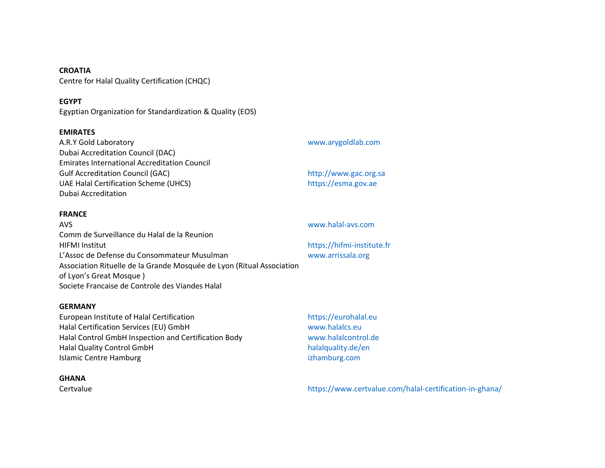**CROATIA** Centre for Halal Quality Certification (CHQC)

### **EGYPT**

Egyptian Organization for Standardization & Quality (EOS)

#### **EMIRATES**

| www.arygoldlab.com    |
|-----------------------|
|                       |
|                       |
| http://www.gac.org.sa |
| https://esma.gov.ae   |
|                       |
|                       |

#### **FRANCE**

| AVS.                                                                  | www.halal-avs.com          |
|-----------------------------------------------------------------------|----------------------------|
| Comm de Surveillance du Halal de la Reunion                           |                            |
| <b>HIFMI Institut</b>                                                 | https://hifmi-institute.fr |
| L'Assoc de Defense du Consommateur Musulman                           | www.arrissala.org          |
| Association Rituelle de la Grande Mosquée de Lyon (Ritual Association |                            |
| of Lyon's Great Mosque)                                               |                            |
| Societe Francaise de Controle des Viandes Halal                       |                            |

#### **GERMANY**

European Institute of Halal Certification [https://eurohalal.eu](https://eurohalal.eu/) Halal Certification Services (EU) GmbH [www.halalcs.eu](http://www.halalcs.eu/) Halal Control GmbH Inspection and Certification Body [www.halalcontrol.de](http://www.halalcontrol.de/) Halal Quality Control GmbH **[halalquality.de/en](/Users/Huub/Documents/GHI/05%20Working%20Groups/WG%20Food%20safety%20regulations%20in%20relation%20to%20religious%20dietary%20laws/Halal%20certifiers%20webpage/Halalquality.de/en)** Islamic Centre Hamburg **izhamburg** [izhamburg.com](http://izhamburg.com/)

#### **GHANA**

Certvalue <https://www.certvalue.com/halal-certification-in-ghana/>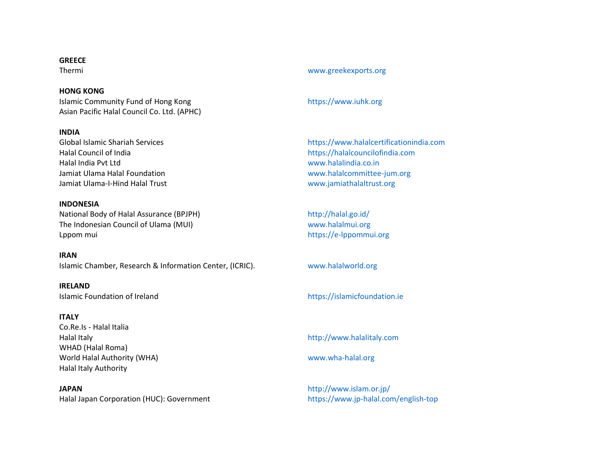#### **GREECE**

#### **HONG KONG**

Islamic Community Fund of Hong Kong [https://www.iuhk.org](https://www.iuhk.org/) Asian Pacific Halal Council Co. Ltd. (APHC)

## **INDIA**

Halal Council of India [https://halalcouncilofindia.com](https://halalcouncilofindia.com/) Halal India Pvt Ltd [www.halalindia.co.in](http://www.halalindia.co.in/) Jamiat Ulama Halal Foundation [www.halalcommittee-jum.org](http://www.halalcommittee-jum.org/) Jamiat Ulama-I-Hind Halal Trust [www.jamiathalaltrust.org](http://www.jamiathalaltrust.org/)

#### **INDONESIA**

National Body of Halal Assurance (BPJPH) <http://halal.go.id/> The Indonesian Council of Ulama (MUI) [www.halalmui.org](http://www.halalmui.org/) Lppom mui [https://e-lppommui.org](https://e-lppommui.org/)

#### **IRAN**

Islamic Chamber, Research & Information Center, (ICRIC). [www.halalworld.org](http://www.halalworld.org/)

**IRELAND** Islamic Foundation of Ireland [https://islamicfoundation.ie](https://islamicfoundation.ie/)

#### **ITALY**

Co.Re.Is - Halal Italia Halal Italy [http://www.halalitaly.com](http://www.halalitaly.com/) WHAD (Halal Roma) World Halal Authority (WHA) [www.wha-halal.org](http://www.wha-halal.org/) Halal Italy Authority

**JAPAN** <http://www.islam.or.jp/> Halal Japan Corporation (HUC): Government [https://www.jp-halal.com/english-top](file://///users/Huub/Documents/GHI/05%20Working%20Groups/WG%20Food%20safety%20regulations%20in%20relation%20to%20religious%20dietary%20laws/Halal%20certifiers%20webpage/Halal%20Japan%20Corporation%20(HUC):%20Government%20%20https:/www.jp-halal.com/english-top%20%20%20%20Islamic%20Center%20of%20Japan%20%20http:/islamcenter.or.jp/en%20%20%20%20Japan%20Muslim%20Access%20%20https:/jmahalal.com%20%20%20%20JAPAN%20MUSLIM%20ASSOCIATION%20%20%20%20JAPAN%20HALAL%20ASSOCIATION%20(JHA)%20%20http:/www.jhalal.com%20%20This%20organization%20has%20submitted%20a%20detailed%20questionnaire%20describing%20its%20standards%20which%20can%20be%20found%20by%20following%20this%20link:%20%5bHalalA5word%5d%20%20%20%20%20%20JAPAN%20HALAL%20UNIT%20ASSOCIATION%20(JHUA)%20%20www.japanhalalunitassociation.com%20%20%20%20JAPAN%20ISLAMIC%20TRUST%20(JIT)%20%20http:/www.islam.or.jp/%20%20%20%20MUSLIM%20PROFESSIONAL%20JAPAN%20ASSOCIATION%20(MPJA)%20%20https:/mpja.jp/en/%20%20%20%20NIPPON%20ASIA%20HALAL%20ASSOCIATION%20(NAHA)%20%20http:/web.nipponasia-halal.org%20%20%20%20%20%20JAPAN%20HALAL%20FOUNDATION%20(JHF)%20%20www.japanhalal.or.jp)

## Thermi [www.greekexports.org](http://www.greekexports.org/)

Global Islamic Shariah Services [https://www.halalcertificationindia.com](https://www.halalcertificationindia.com/)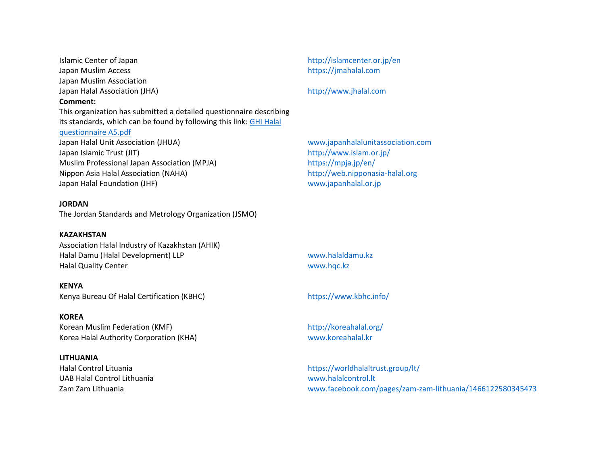Islamic Center of Japan <http://islamcenter.or.jp/en> Japan Muslim Access [https://jmahalal.com](https://jmahalal.com/) Japan Muslim Association Japan Halal Association (JHA) **Comment:** This organization has submitted a detailed questionnaire describing its standards, which can be found by following this link[: GHI Halal](https://www.globalharmonization.net/sites/default/files/pdf/GHI_Halal-questionnaire-A5.pdf)  [questionnaire A5.pdf](https://www.globalharmonization.net/sites/default/files/pdf/GHI_Halal-questionnaire-A5.pdf) Japan Halal Unit Association (JHUA) [www.japanhalalunitassociation.com](http://www.japanhalalunitassociation.com/) Japan Islamic Trust (JIT) **<http://www.islam.or.jp/>** Muslim Professional Japan Association (MPJA) <https://mpja.jp/en/> Nippon Asia Halal Association (NAHA) [http://web.nipponasia-halal.org](http://web.nipponasia-halal.org/) Japan Halal Foundation (JHF) [www.japanhalal.or.jp](http://www.japanhalal.or.jp/)

#### **JORDAN**

The Jordan Standards and Metrology Organization (JSMO)

#### **KAZAKHSTAN**

Association Halal Industry of Kazakhstan (AHIK) Halal Damu (Halal Development) LLP [www.halaldamu.kz](http://www.halaldamu.kz/) Halal Quality Center [www.hqc.kz](http://www.hqc.kz/)

**KENYA** Kenya Bureau Of Halal Certification (KBHC) <https://www.kbhc.info/>

**KOREA** Korean Muslim Federation (KMF) <http://koreahalal.org/>

Korea Halal Authority Corporation (KHA) [www.koreahalal.kr](http://www.koreahalal.kr/)

#### **LITHUANIA**

UAB Halal Control Lithuania [www.halalcontrol.lt](http://www.halalcontrol.lt/)

[http://www.jhalal.com](http://www.jhalal.com/)

Halal Control Lituania <https://worldhalaltrust.group/lt/> Zam Zam Lithuania [www.facebook.com/pages/zam-zam-lithuania/1466122580345473](http://www.facebook.com/pages/Zam-Zam-Lithuania/1466122580345473)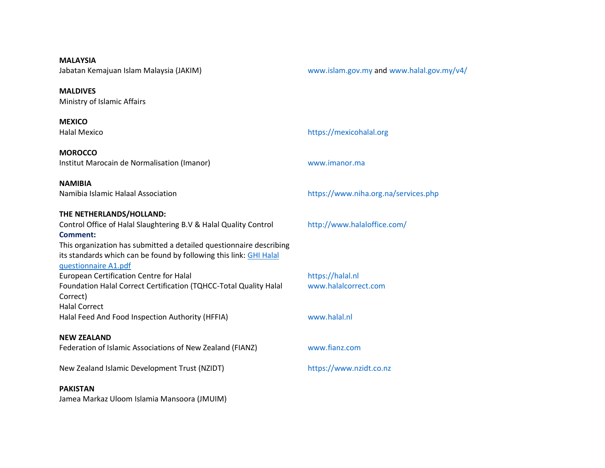**MALAYSIA**

**MALDIVES** Ministry of Islamic Affairs

**MEXICO**

**MOROCCO** Institut Marocain de Normalisation (Imanor) [www.imanor.ma](http://www.imanor.ma/)

**NAMIBIA**

**THE NETHERLANDS/HOLLAND:**

Control Office of Halal Slaughtering B.V & Halal Quality Control **[Comment:](https://www.globalharmonization.net/sites/default/files/pdf/GHI_Halal-questionnaire-A1.pdf)** This organization has submitted a detailed questionnaire describing

its standards which can be found by following this link: [GHI Halal](https://www.globalharmonization.net/sites/default/files/pdf/GHI_Halal-questionnaire-A1.pdf)  [questionnaire A1.pdf](https://www.globalharmonization.net/sites/default/files/pdf/GHI_Halal-questionnaire-A1.pdf) European Certification Centre for Halal [https://halal.nl](https://halal.nl/) Foundation Halal Correct Certification (TQHCC-Total Quality Halal Correct)

Halal Correct Halal Feed And Food Inspection Authority (HFFIA) [www.halal.nl](http://www.halal.nl/)

### **NEW ZEALAND**

Federation of Islamic Associations of New Zealand (FIANZ) [www.fianz.com](http://www.fianz.com/)

New Zealand Islamic Development Trust (NZIDT) [https://www.nzidt.co.nz](https://www.nzidt.co.nz/)

#### **PAKISTAN**

Jamea Markaz Uloom Islamia Mansoora (JMUIM)

Jabatan Kemajuan Islam Malaysia (JAKIM) [www.islam.gov.my](http://www.islam.gov.my/) and [www.halal.gov.my/v4/](http://www.halal.gov.my/v4/)

## Halal Mexico [https://mexicohalal.org](https://mexicohalal.org/)

Namibia Islamic Halaal Association [https://www.niha.org.na/services.php](namibia:%20%20%20%20Namibia%20Islamic%20Halaal%20Association%20%20https://www.niha.org.na/services.php)

<http://www.halaloffice.com/>

[www.halalcorrect.com](http://www.halalcorrect.com/)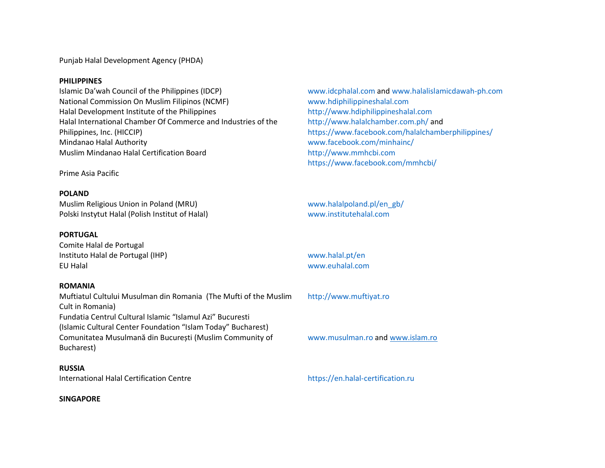Punjab Halal Development Agency (PHDA)

#### **PHILIPPINES**

Islamic Da'wah Council of the Philippines (IDCP) [www.idcphalal.com a](http://www.idcphalal.com/)nd [www.halalislamicdawah-ph.com](http://www.halalislamicdawah-ph.com/) National Commission On Muslim Filipinos (NCMF) [www.hdiphilippineshalal.com](http://www.hdiphilippineshalal.com/) Halal Development Institute of the Philippines [http://www.hdiphilippineshalal.com](http://www.hdiphilippineshalal.com/) Halal International Chamber Of Commerce and Industries of the Philippines, Inc. (HICCIP) Mindanao Halal Authority [www.facebook.com/minhainc/](http://www.facebook.com/minhainc/) Muslim Mindanao Halal Certification Board [http://www.mmhcbi.com](http://www.mmhcbi.com/)

Prime Asia Pacific

#### **POLAND**

Muslim Religious Union in Poland (MRU) [www.halalpoland.pl/en\\_gb/](http://www.halalpoland.pl/en_GB/) Polski Instytut Halal (Polish Institut of Halal) [www.institutehalal.com](http://www.institutehalal.com/)

#### **PORTUGAL**

Comite Halal de Portugal Instituto Halal de Portugal (IHP) [www.halal.pt/en](http://www.halal.pt/en) EU Halal [www.euhalal.com](http://www.euhalal.com/)

#### **ROMANIA**

Muftiatul Cultului Musulman din Romania (The Mufti of the Muslim Cult in Romania) Fundatia Centrul Cultural Islamic "Islamul Azi" Bucuresti (Islamic Cultural Center Foundation "Islam Today" Bucharest) Comunitatea Musulmană din București (Muslim Community of Bucharest)

#### **RUSSIA**

International Halal Certification Centre [https://en.halal-certification.ru](https://en.halal-certification.ru/)

#### **SINGAPORE**

<http://www.halalchamber.com.ph/> and [https://www.facebook.com/halalchamberphilippines/](https://www.facebook.com/HalalChamberPhilippines/) <https://www.facebook.com/mmhcbi/>

[http://www.muftiyat.ro](http://www.muftiyat.ro/)

[www.musulman.ro](http://www.musulman.ro/) and [www.islam.ro](http://www.islam.ro/)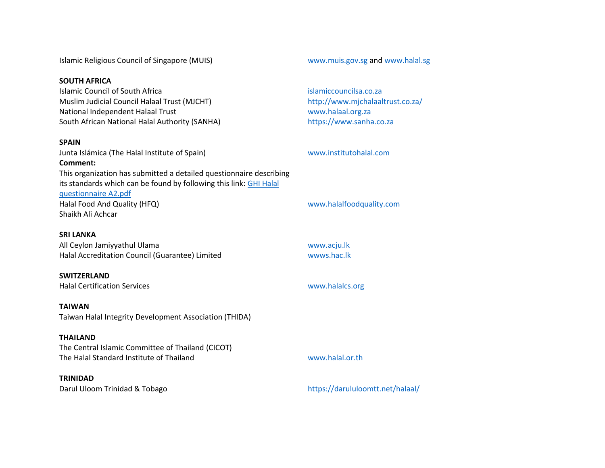Islamic Religious Council of Singapore (MUIS) [www.muis.gov.sg](http://www.muis.gov.sg/) and [www.halal.sg](http://www.halal.sg/)

#### **SOUTH AFRICA**

Islamic Council of South Africa [islamiccouncilsa.co.za](/Users/Huub/Documents/GHI/05%20Working%20Groups/WG%20Food%20safety%20regulations%20in%20relation%20to%20religious%20dietary%20laws/Halal%20certifiers%20webpage/Islamiccouncilsa.co.za) Muslim Judicial Council Halaal Trust (MJCHT) <http://www.mjchalaaltrust.co.za/> National Independent Halaal Trust [www.halaal.org.za](http://www.halaal.org.za/) South African National Halal Authority (SANHA) [https://www.sanha.co.za](https://www.sanha.co.za/)

#### **SPAIN**

Junta Islámica (The Halal Institute of Spain) **Comment:** This organization has submitted a detailed questionnaire describing its standards which can be found by following this link: [GHI Halal](https://www.globalharmonization.net/sites/default/files/pdf/GHI_Halal-questionnaire-A2.pdf)  [questionnaire A2.pdf](https://www.globalharmonization.net/sites/default/files/pdf/GHI_Halal-questionnaire-A2.pdf) Halal Food And Quality (HFQ) [www.halalfoodquality.com](http://www.halalfoodquality.com/) Shaikh Ali Achcar

#### **SRI LANKA**

All Ceylon Jamiyyathul Ulama [www.acju.lk](http://www.acju.lk/) Halal Accreditation Council (Guarantee) Limited www.hac.lk

# **SWITZERLAND**

Halal Certification Services [www.halalcs.org](http://www.halalcs.org/)

#### **TAIWAN**

Taiwan Halal Integrity Development Association (THIDA)

#### **THAILAND**

The Central Islamic Committee of Thailand (CICOT) The Halal Standard Institute of Thailand [www.halal.or.th](http://www.halal.or.th/)

#### **TRINIDAD**

#### [www.institutohalal.com](http://www.institutohalal.com/)

Darul Uloom Trinidad & Tobago <https://darululoomtt.net/halaal/>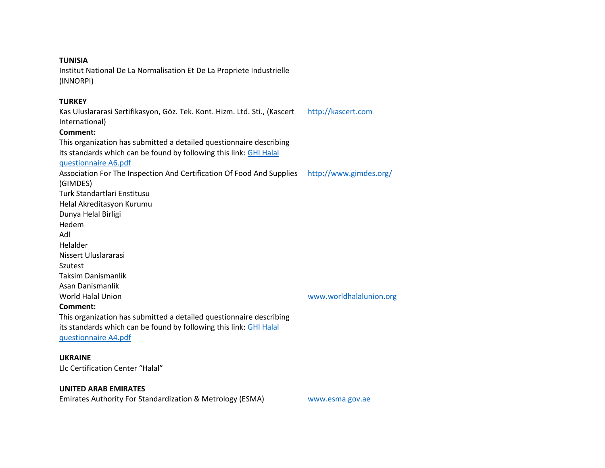#### **TUNISIA**

Institut National De La Normalisation Et De La Propriete Industrielle (INNORPI)

#### **TURKEY**

Kas Uluslararasi Sertifikasyon, Göz. Tek. Kont. Hizm. Ltd. Sti., (Kascert International) **Comment:** This organization has submitted a detailed questionnaire describing its standards which can be found by following this link: [GHI Halal](https://www.globalharmonization.net/sites/default/files/pdf/GHI_Halal-questionnaire-A6.pdf)  [questionnaire A6.pdf](https://www.globalharmonization.net/sites/default/files/pdf/GHI_Halal-questionnaire-A6.pdf) [http://kascert.com](http://kascert.com/) Association For The Inspection And Certification Of Food And Supplies (GIMDES) <http://www.gimdes.org/> Turk Standartlari Enstitusu Helal Akreditasyon Kurumu Dunya Helal Birligi Hedem Adl Helalder Nissert Uluslararasi Szutest Taksim Danismanlik Asan Danismanlik World Halal Union **Comment:** [www.worldhalalunion.org](http://www.worldhalalunion.org/)

This organization has submitted a detailed questionnaire describing its standards which can be found by following this link: GHI Halal [questionnaire A4.pdf](https://www.globalharmonization.net/sites/default/files/pdf/GHI_Halal-questionnaire-A4.pdf)

#### **UKRAINE**

Llc Certification Center "Halal"

#### **UNITED ARAB EMIRATES**

Emirates Authority For Standardization & Metrology (ESMA) [www.esma.gov.ae](http://www.esma.gov.ae/)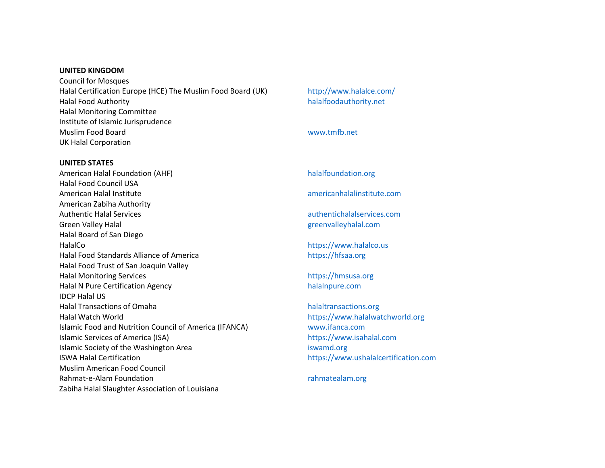#### **UNITED KINGDOM**

Council for Mosques Halal Certification Europe (HCE) The Muslim Food Board (UK) <http://www.halalce.com/> Halal Food Authority [halalfoodauthority.net](http://halalfoodauthority.net/) Halal Monitoring Committee Institute of Islamic Jurisprudence Muslim Food Board [www.tmfb.net](http://www.tmfb.net/) UK Halal Corporation

#### **UNITED STATES**

American Halal Foundation (AHF) Halal Food Council USA American Halal Institute [americanhalalinstitute.com](http://americanhalalinstitute.com/) American Zabiha Authority Authentic Halal Services [authentichalalservices.com](http://authentichalalservices.com/) Green Valley Halal Green Valley Halal [greenvalleyhalal.com](http://greenvalleyhalal.com/) Halal Board of San Diego HalalCo [https://www.halalco.us](https://www.halalco.us/) Halal Food Standards Alliance of America [https://hfsaa.org](https://hfsaa.org/) Halal Food Trust of San Joaquin Valley Halal Monitoring Services [https://hmsusa.org](https://hmsusa.org/) Halal N Pure Certification Agency [halalnpure.com](http://halalnpure.com/) IDCP Halal US Halal Transactions of Omaha [halaltransactions.org](http://halaltransactions.org/) Halal Watch World [https://www.halalwatchworld.org](https://www.halalwatchworld.org/) Islamic Food and Nutrition Council of America (IFANCA) [www.ifanca.com](http://www.ifanca.com/) Islamic Services of America (ISA) [https://www.isahalal.com](https://www.isahalal.com/) Islamic Society of the Washington Area [iswamd.org](http://iswamd.org/) is wanted a structure of the Washington Area ISWA Halal Certification **[https://www.ushalalcertification.com](https://www.ushalalcertification.com/)** Muslim American Food Council Rahmat-e-Alam Foundation and the control of the control of the control of the control of the control of the control of the control of the control of the control of the control of the control of the control of the control o Zabiha Halal Slaughter Association of Louisiana

[halalfoundation.org](http://halalfoundation.org/)